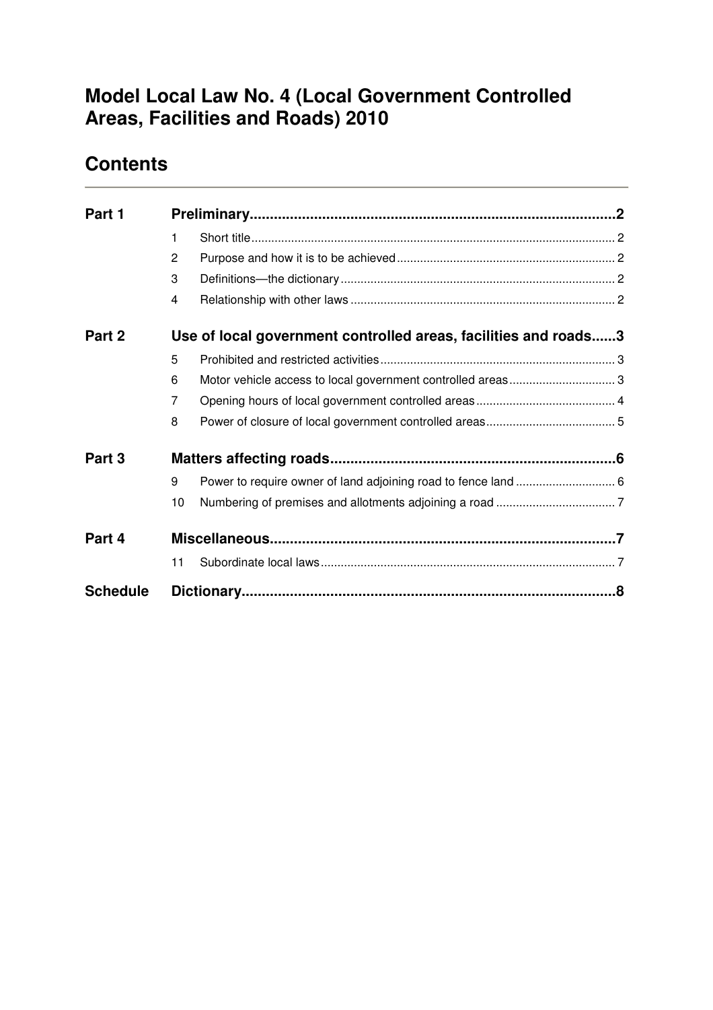# **Model Local Law No. 4 (Local Government Controlled Areas, Facilities and Roads) 2010**

## **Contents**

| Part 1          |                                                                 |  |  |
|-----------------|-----------------------------------------------------------------|--|--|
|                 | 1                                                               |  |  |
|                 | 2                                                               |  |  |
|                 | 3                                                               |  |  |
|                 | 4                                                               |  |  |
| Part 2          | Use of local government controlled areas, facilities and roads3 |  |  |
|                 | 5                                                               |  |  |
|                 | 6                                                               |  |  |
|                 | 7                                                               |  |  |
|                 | 8                                                               |  |  |
| Part 3          |                                                                 |  |  |
|                 | 9                                                               |  |  |
|                 | 10                                                              |  |  |
| Part 4          |                                                                 |  |  |
|                 | 11                                                              |  |  |
| <b>Schedule</b> |                                                                 |  |  |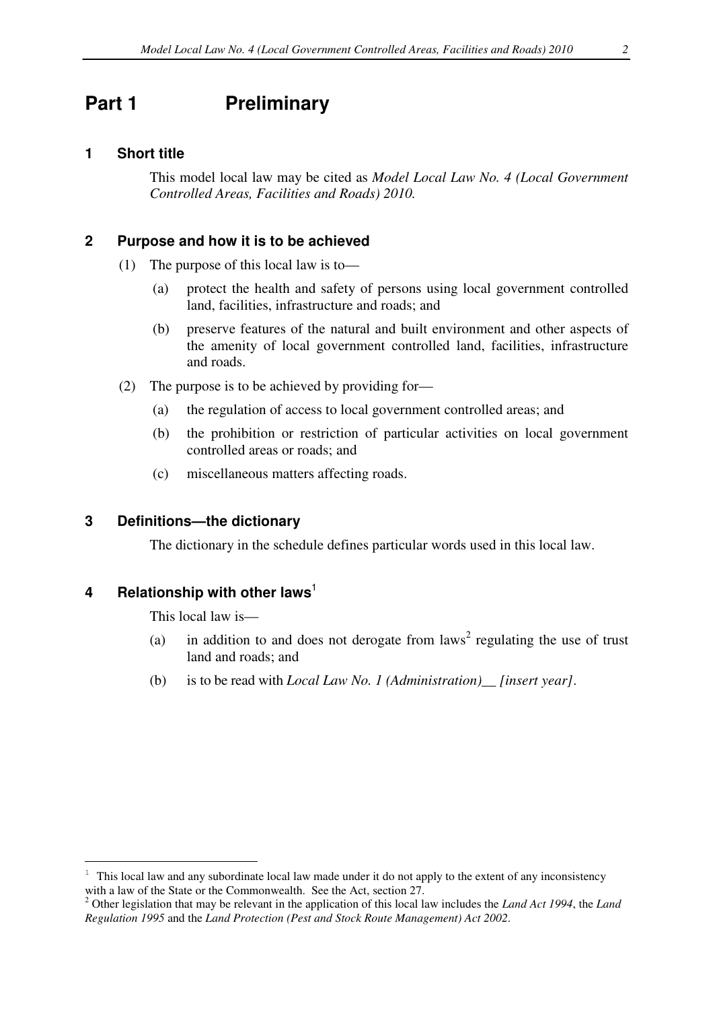## **Part 1** Preliminary

#### **1 Short title**

This model local law may be cited as *Model Local Law No. 4 (Local Government Controlled Areas, Facilities and Roads) 2010.*

#### **2 Purpose and how it is to be achieved**

- (1) The purpose of this local law is to—
	- (a) protect the health and safety of persons using local government controlled land, facilities, infrastructure and roads; and
	- (b) preserve features of the natural and built environment and other aspects of the amenity of local government controlled land, facilities, infrastructure and roads.
- (2) The purpose is to be achieved by providing for—
	- (a) the regulation of access to local government controlled areas; and
	- (b) the prohibition or restriction of particular activities on local government controlled areas or roads; and
	- (c) miscellaneous matters affecting roads.

#### **3 Definitions—the dictionary**

The dictionary in the schedule defines particular words used in this local law.

#### **4 Relationship with other laws**<sup>1</sup>

 $\overline{a}$ 

This local law is—

- (a) in addition to and does not derogate from  $laws<sup>2</sup>$  regulating the use of trust land and roads; and
- (b) is to be read with *Local Law No. 1 (Administration)\_\_ [insert year]*.

<sup>1</sup> This local law and any subordinate local law made under it do not apply to the extent of any inconsistency with a law of the State or the Commonwealth. See the Act, section 27.

<sup>2</sup> Other legislation that may be relevant in the application of this local law includes the *Land Act 1994*, the *Land Regulation 1995* and the *Land Protection (Pest and Stock Route Management) Act 2002*.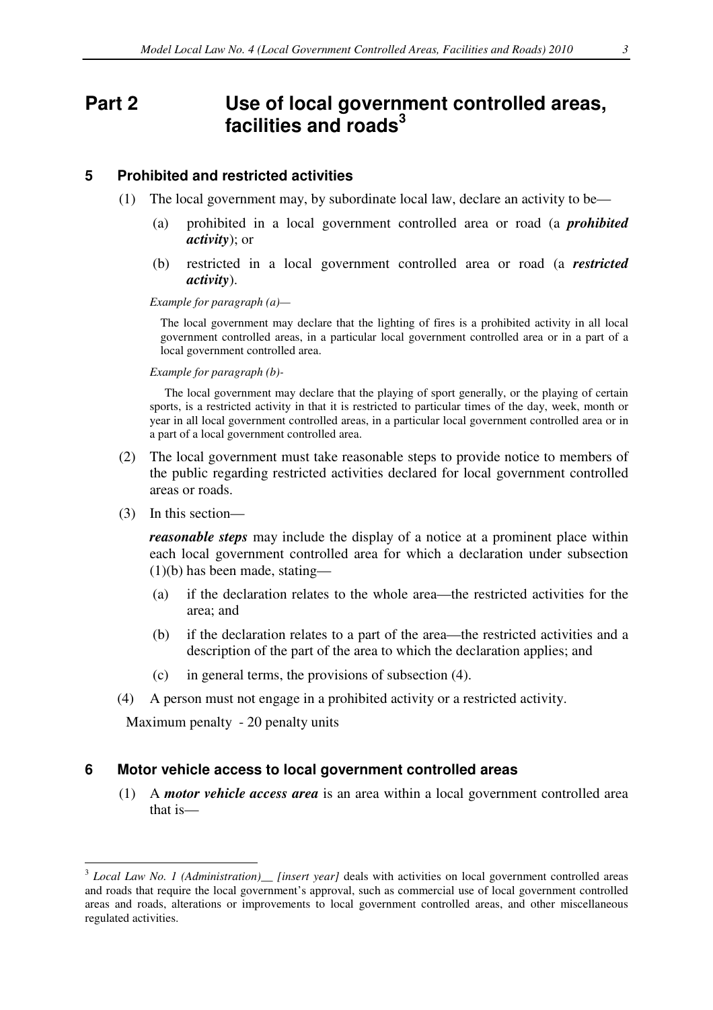## **Part 2 Use of local government controlled areas, facilities and roads<sup>3</sup>**

#### **5 Prohibited and restricted activities**

- (1) The local government may, by subordinate local law, declare an activity to be—
	- (a) prohibited in a local government controlled area or road (a *prohibited activity*); or
	- (b) restricted in a local government controlled area or road (a *restricted activity*).

*Example for paragraph (a)—* 

The local government may declare that the lighting of fires is a prohibited activity in all local government controlled areas, in a particular local government controlled area or in a part of a local government controlled area.

*Example for paragraph (b)-* 

 The local government may declare that the playing of sport generally, or the playing of certain sports, is a restricted activity in that it is restricted to particular times of the day, week, month or year in all local government controlled areas, in a particular local government controlled area or in a part of a local government controlled area.

- (2) The local government must take reasonable steps to provide notice to members of the public regarding restricted activities declared for local government controlled areas or roads.
- (3) In this section—

 $\overline{a}$ 

*reasonable steps* may include the display of a notice at a prominent place within each local government controlled area for which a declaration under subsection  $(1)(b)$  has been made, stating—

- (a) if the declaration relates to the whole area—the restricted activities for the area; and
- (b) if the declaration relates to a part of the area—the restricted activities and a description of the part of the area to which the declaration applies; and
- (c) in general terms, the provisions of subsection (4).
- (4) A person must not engage in a prohibited activity or a restricted activity.

Maximum penalty - 20 penalty units

#### **6 Motor vehicle access to local government controlled areas**

(1) A *motor vehicle access area* is an area within a local government controlled area that is—

<sup>&</sup>lt;sup>3</sup> Local Law No. 1 (Administration)<sub>—</sub> [insert year] deals with activities on local government controlled areas and roads that require the local government's approval, such as commercial use of local government controlled areas and roads, alterations or improvements to local government controlled areas, and other miscellaneous regulated activities.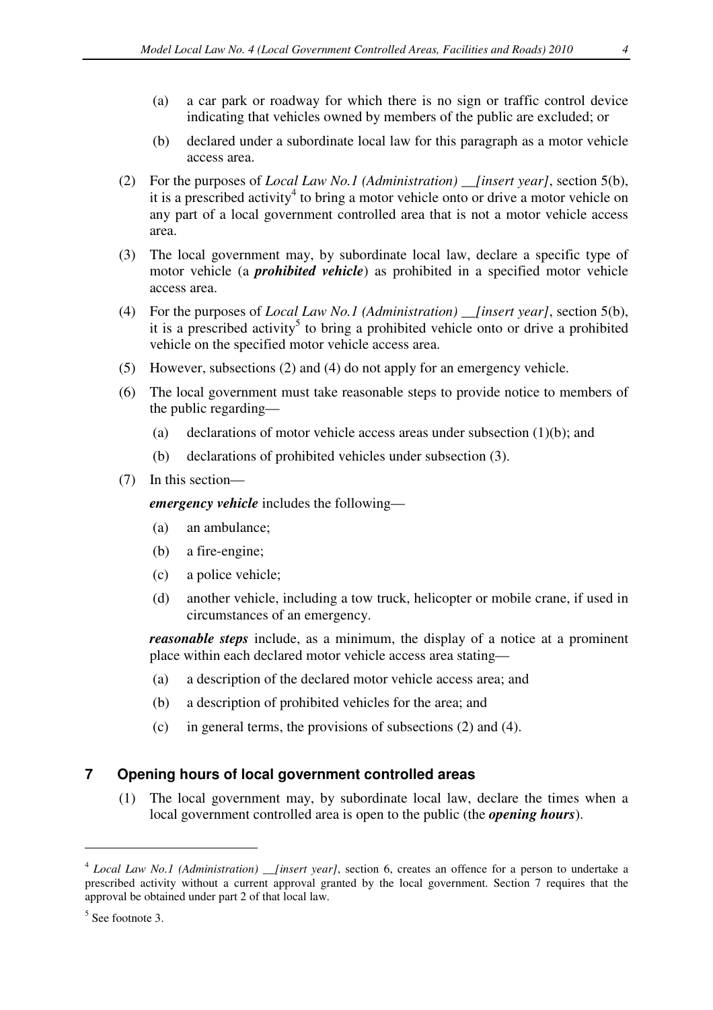- (a) a car park or roadway for which there is no sign or traffic control device indicating that vehicles owned by members of the public are excluded; or
- (b) declared under a subordinate local law for this paragraph as a motor vehicle access area.
- (2) For the purposes of *Local Law No.1 (Administration) \_\_[insert year]*, section 5(b), it is a prescribed activity<sup>4</sup> to bring a motor vehicle onto or drive a motor vehicle on any part of a local government controlled area that is not a motor vehicle access area.
- (3) The local government may, by subordinate local law, declare a specific type of motor vehicle (a *prohibited vehicle*) as prohibited in a specified motor vehicle access area.
- (4) For the purposes of *Local Law No.1 (Administration) \_\_[insert year]*, section 5(b), it is a prescribed activity<sup>5</sup> to bring a prohibited vehicle onto or drive a prohibited vehicle on the specified motor vehicle access area.
- (5) However, subsections (2) and (4) do not apply for an emergency vehicle.
- (6) The local government must take reasonable steps to provide notice to members of the public regarding—
	- (a) declarations of motor vehicle access areas under subsection (1)(b); and
	- (b) declarations of prohibited vehicles under subsection (3).
- (7) In this section—

*emergency vehicle* includes the following—

- (a) an ambulance;
- (b) a fire-engine;
- (c) a police vehicle;
- (d) another vehicle, including a tow truck, helicopter or mobile crane, if used in circumstances of an emergency.

*reasonable steps* include, as a minimum, the display of a notice at a prominent place within each declared motor vehicle access area stating—

- (a) a description of the declared motor vehicle access area; and
- (b) a description of prohibited vehicles for the area; and
- (c) in general terms, the provisions of subsections (2) and (4).

#### **7 Opening hours of local government controlled areas**

(1) The local government may, by subordinate local law, declare the times when a local government controlled area is open to the public (the *opening hours*).

 $\overline{a}$ 

<sup>4</sup> *Local Law No.1 (Administration) \_\_[insert year]*, section 6, creates an offence for a person to undertake a prescribed activity without a current approval granted by the local government. Section 7 requires that the approval be obtained under part 2 of that local law.

<sup>5</sup> See footnote 3.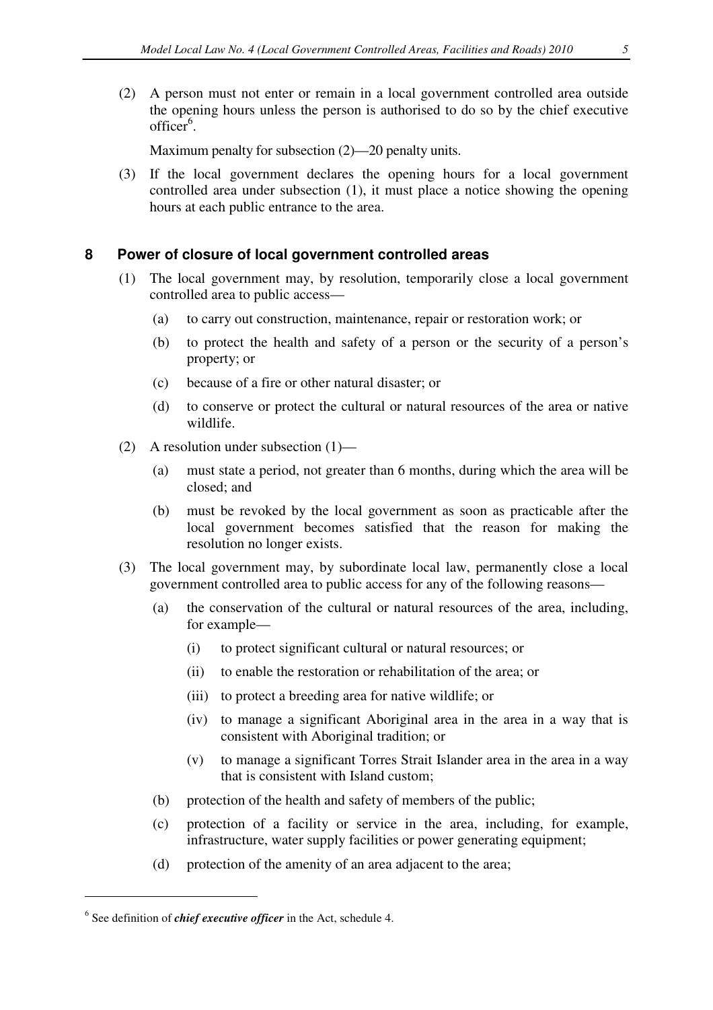(2) A person must not enter or remain in a local government controlled area outside the opening hours unless the person is authorised to do so by the chief executive  $of \ddot{f} \text{icer}^6$ .

Maximum penalty for subsection (2)—20 penalty units.

(3) If the local government declares the opening hours for a local government controlled area under subsection (1), it must place a notice showing the opening hours at each public entrance to the area.

### **8 Power of closure of local government controlled areas**

- (1) The local government may, by resolution, temporarily close a local government controlled area to public access—
	- (a) to carry out construction, maintenance, repair or restoration work; or
	- (b) to protect the health and safety of a person or the security of a person's property; or
	- (c) because of a fire or other natural disaster; or
	- (d) to conserve or protect the cultural or natural resources of the area or native wildlife.
- (2) A resolution under subsection (1)—
	- (a) must state a period, not greater than 6 months, during which the area will be closed; and
	- (b) must be revoked by the local government as soon as practicable after the local government becomes satisfied that the reason for making the resolution no longer exists.
- (3) The local government may, by subordinate local law, permanently close a local government controlled area to public access for any of the following reasons—
	- (a) the conservation of the cultural or natural resources of the area, including, for example—
		- (i) to protect significant cultural or natural resources; or
		- (ii) to enable the restoration or rehabilitation of the area; or
		- (iii) to protect a breeding area for native wildlife; or
		- (iv) to manage a significant Aboriginal area in the area in a way that is consistent with Aboriginal tradition; or
		- (v) to manage a significant Torres Strait Islander area in the area in a way that is consistent with Island custom;
	- (b) protection of the health and safety of members of the public;
	- (c) protection of a facility or service in the area, including, for example, infrastructure, water supply facilities or power generating equipment;
	- (d) protection of the amenity of an area adjacent to the area;

 $\overline{a}$ 

<sup>6</sup> See definition of *chief executive officer* in the Act, schedule 4.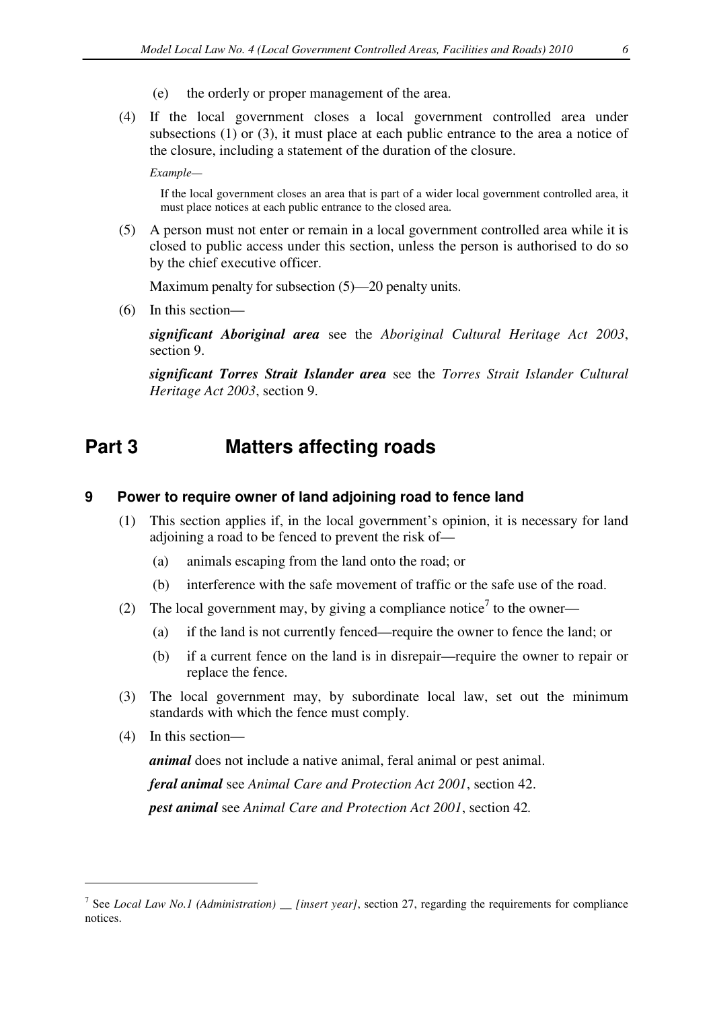- (e) the orderly or proper management of the area.
- (4) If the local government closes a local government controlled area under subsections (1) or (3), it must place at each public entrance to the area a notice of the closure, including a statement of the duration of the closure.

*Example—* 

If the local government closes an area that is part of a wider local government controlled area, it must place notices at each public entrance to the closed area.

(5) A person must not enter or remain in a local government controlled area while it is closed to public access under this section, unless the person is authorised to do so by the chief executive officer.

Maximum penalty for subsection (5)—20 penalty units.

(6) In this section—

*significant Aboriginal area* see the *Aboriginal Cultural Heritage Act 2003*, section 9.

*significant Torres Strait Islander area* see the *Torres Strait Islander Cultural Heritage Act 2003*, section 9.

## **Part 3 Matters affecting roads**

#### **9 Power to require owner of land adjoining road to fence land**

- (1) This section applies if, in the local government's opinion, it is necessary for land adjoining a road to be fenced to prevent the risk of—
	- (a) animals escaping from the land onto the road; or
	- (b) interference with the safe movement of traffic or the safe use of the road.
- (2) The local government may, by giving a compliance notice<sup>7</sup> to the owner—
	- (a) if the land is not currently fenced—require the owner to fence the land; or
	- (b) if a current fence on the land is in disrepair—require the owner to repair or replace the fence.
- (3) The local government may, by subordinate local law, set out the minimum standards with which the fence must comply.
- (4) In this section—

 $\overline{a}$ 

*animal* does not include a native animal, feral animal or pest animal.  *feral animal* see *Animal Care and Protection Act 2001*, section 42.  *pest animal* see *Animal Care and Protection Act 2001*, section 42*.*

<sup>&</sup>lt;sup>7</sup> See *Local Law No.1 (Administration)* \_\_ [insert year], section 27, regarding the requirements for compliance notices.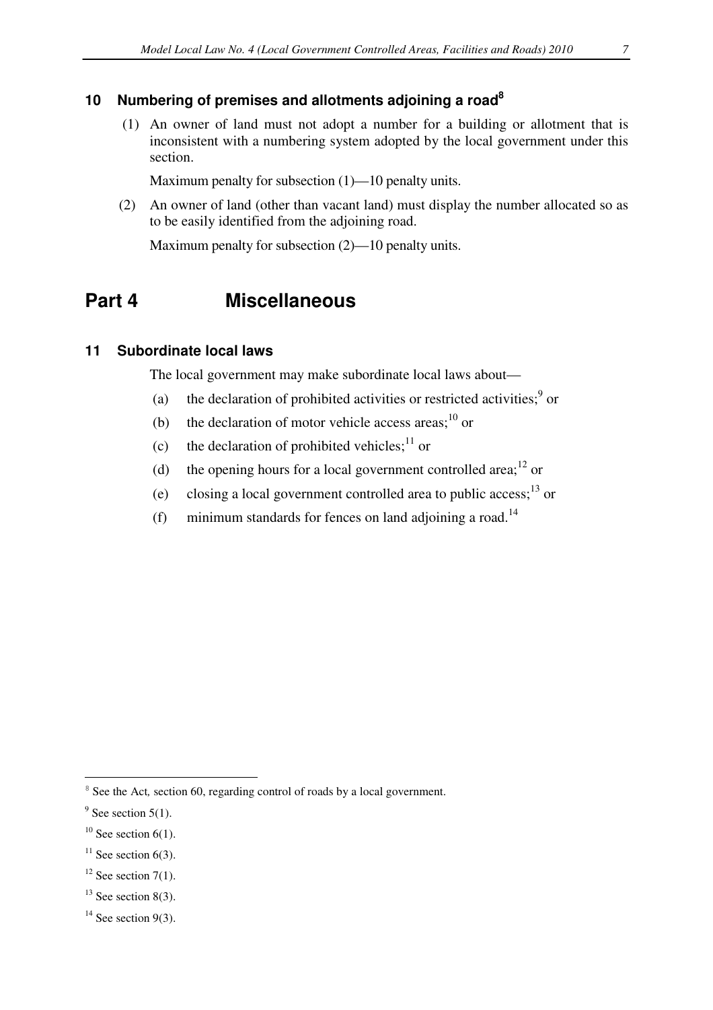### **10 Numbering of premises and allotments adjoining a road<sup>8</sup>**

 (1)An owner of land must not adopt a number for a building or allotment that is inconsistent with a numbering system adopted by the local government under this section.

Maximum penalty for subsection (1)—10 penalty units.

(2) An owner of land (other than vacant land) must display the number allocated so as to be easily identified from the adjoining road.

Maximum penalty for subsection (2)—10 penalty units.

## **Part 4 Miscellaneous**

### **11 Subordinate local laws**

The local government may make subordinate local laws about—

- (a) the declaration of prohibited activities or restricted activities;<sup>9</sup> or
- (b) the declaration of motor vehicle access areas; $^{10}$  or
- (c) the declaration of prohibited vehicles;  $11$  or
- (d) the opening hours for a local government controlled area;<sup>12</sup> or
- (e) closing a local government controlled area to public access;<sup>13</sup> or
- (f) minimum standards for fences on land adjoining a road.<sup>14</sup>

<sup>&</sup>lt;sup>8</sup> See the Act, section 60, regarding control of roads by a local government.

 $9^9$  See section 5(1).

 $10$  See section 6(1).

 $11$  See section 6(3).

 $12$  See section 7(1).

 $13$  See section 8(3).

 $14$  See section 9(3).